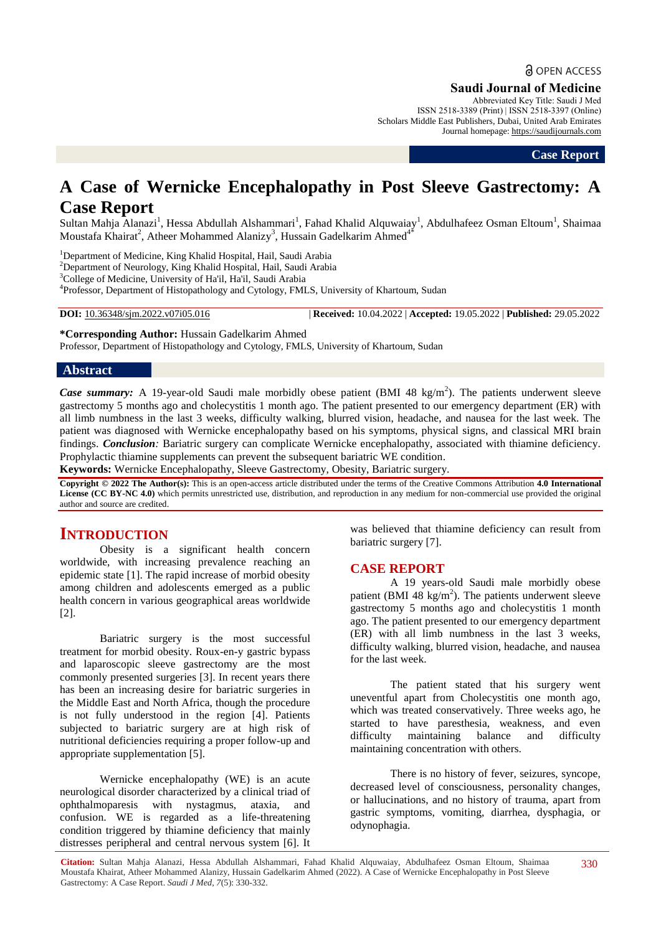# **a** OPEN ACCESS

**Saudi Journal of Medicine**

Abbreviated Key Title: Saudi J Med ISSN 2518-3389 (Print) | ISSN 2518-3397 (Online) Scholars Middle East Publishers, Dubai, United Arab Emirates Journal homepage: https://saudijournals.com

**Case Report**

# **A Case of Wernicke Encephalopathy in Post Sleeve Gastrectomy: A Case Report**

Sultan Mahja Alanazi<sup>1</sup>, Hessa Abdullah Alshammari<sup>1</sup>, Fahad Khalid Alquwaiay<sup>1</sup>, Abdulhafeez Osman Eltoum<sup>1</sup>, Shaimaa Moustafa Khairat<sup>2</sup>, Atheer Mohammed Alanizy<sup>3</sup>, Hussain Gadelkarim Ahmed<sup>4\*</sup>

<sup>1</sup>Department of Medicine, King Khalid Hospital, Hail, Saudi Arabia

<sup>2</sup>Department of Neurology, King Khalid Hospital, Hail, Saudi Arabia

<sup>3</sup>College of Medicine, University of Ha'il, Ha'il, Saudi Arabia

4 Professor, Department of Histopathology and Cytology, FMLS, University of Khartoum, Sudan

**DOI:** 10.36348/sjm.2022.v07i05.016 | **Received:** 10.04.2022 | **Accepted:** 19.05.2022 | **Published:** 29.05.2022

**\*Corresponding Author:** Hussain Gadelkarim Ahmed Professor, Department of Histopathology and Cytology, FMLS, University of Khartoum, Sudan

## **Abstract**

*Case summary:* A 19-year-old Saudi male morbidly obese patient (BMI 48 kg/m<sup>2</sup>). The patients underwent sleeve gastrectomy 5 months ago and cholecystitis 1 month ago. The patient presented to our emergency department (ER) with all limb numbness in the last 3 weeks, difficulty walking, blurred vision, headache, and nausea for the last week. The patient was diagnosed with Wernicke encephalopathy based on his symptoms, physical signs, and classical MRI brain findings. *Conclusion:* Bariatric surgery can complicate Wernicke encephalopathy, associated with thiamine deficiency. Prophylactic thiamine supplements can prevent the subsequent bariatric WE condition.

**Keywords:** Wernicke Encephalopathy, Sleeve Gastrectomy, Obesity, Bariatric surgery.

**Copyright © 2022 The Author(s):** This is an open-access article distributed under the terms of the Creative Commons Attribution **4.0 International License (CC BY-NC 4.0)** which permits unrestricted use, distribution, and reproduction in any medium for non-commercial use provided the original author and source are credited.

# **INTRODUCTION**

Obesity is a significant health concern worldwide, with increasing prevalence reaching an epidemic state [1]. The rapid increase of morbid obesity among children and adolescents emerged as a public health concern in various geographical areas worldwide [2].

Bariatric surgery is the most successful treatment for morbid obesity. Roux-en-y gastric bypass and laparoscopic sleeve gastrectomy are the most commonly presented surgeries [3]. In recent years there has been an increasing desire for bariatric surgeries in the Middle East and North Africa, though the procedure is not fully understood in the region [4]. Patients subjected to bariatric surgery are at high risk of nutritional deficiencies requiring a proper follow-up and appropriate supplementation [5].

Wernicke encephalopathy (WE) is an acute neurological disorder characterized by a clinical triad of ophthalmoparesis with nystagmus, ataxia, and confusion. WE is regarded as a life-threatening condition triggered by thiamine deficiency that mainly distresses peripheral and central nervous system [6]. It was believed that thiamine deficiency can result from bariatric surgery [7].

# **CASE REPORT**

A 19 years-old Saudi male morbidly obese patient (BMI 48 kg/m<sup>2</sup>). The patients underwent sleeve gastrectomy 5 months ago and cholecystitis 1 month ago. The patient presented to our emergency department (ER) with all limb numbness in the last 3 weeks, difficulty walking, blurred vision, headache, and nausea for the last week.

The patient stated that his surgery went uneventful apart from Cholecystitis one month ago, which was treated conservatively. Three weeks ago, he started to have paresthesia, weakness, and even difficulty maintaining balance and difficulty maintaining concentration with others.

There is no history of fever, seizures, syncope, decreased level of consciousness, personality changes, or hallucinations, and no history of trauma, apart from gastric symptoms, vomiting, diarrhea, dysphagia, or odynophagia.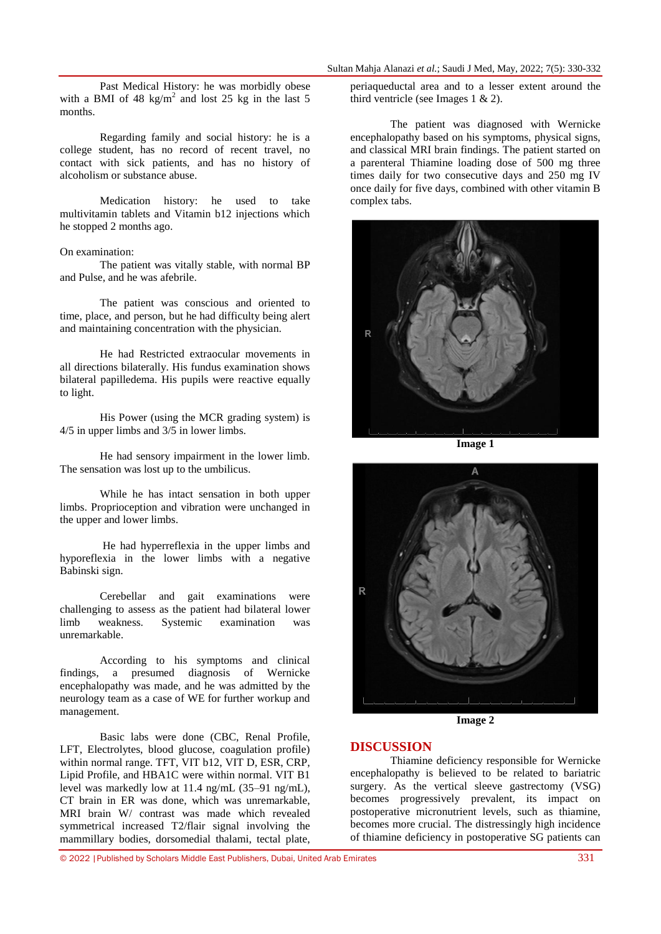Past Medical History: he was morbidly obese with a BMI of 48  $\text{kg/m}^2$  and lost 25 kg in the last 5 months.

Regarding family and social history: he is a college student, has no record of recent travel, no contact with sick patients, and has no history of alcoholism or substance abuse.

Medication history: he used to take multivitamin tablets and Vitamin b12 injections which he stopped 2 months ago.

### On examination:

The patient was vitally stable, with normal BP and Pulse, and he was afebrile.

The patient was conscious and oriented to time, place, and person, but he had difficulty being alert and maintaining concentration with the physician.

He had Restricted extraocular movements in all directions bilaterally. His fundus examination shows bilateral papilledema. His pupils were reactive equally to light.

His Power (using the MCR grading system) is 4/5 in upper limbs and 3/5 in lower limbs.

He had sensory impairment in the lower limb. The sensation was lost up to the umbilicus.

While he has intact sensation in both upper limbs. Proprioception and vibration were unchanged in the upper and lower limbs.

He had hyperreflexia in the upper limbs and hyporeflexia in the lower limbs with a negative Babinski sign.

Cerebellar and gait examinations were challenging to assess as the patient had bilateral lower limb weakness. Systemic examination was unremarkable.

According to his symptoms and clinical findings, a presumed diagnosis of Wernicke encephalopathy was made, and he was admitted by the neurology team as a case of WE for further workup and management.

Basic labs were done (CBC, Renal Profile, LFT, Electrolytes, blood glucose, coagulation profile) within normal range. TFT, VIT b12, VIT D, ESR, CRP, Lipid Profile, and HBA1C were within normal. VIT B1 level was markedly low at 11.4 ng/mL (35–91 ng/mL), CT brain in ER was done, which was unremarkable, MRI brain W/ contrast was made which revealed symmetrical increased T2/flair signal involving the mammillary bodies, dorsomedial thalami, tectal plate,

periaqueductal area and to a lesser extent around the third ventricle (see Images  $1 \& 2$ ).

The patient was diagnosed with Wernicke encephalopathy based on his symptoms, physical signs, and classical MRI brain findings. The patient started on a parenteral Thiamine loading dose of 500 mg three times daily for two consecutive days and 250 mg IV once daily for five days, combined with other vitamin B complex tabs.



**Image 1**



**Image 2**

# **DISCUSSION**

Thiamine deficiency responsible for Wernicke encephalopathy is believed to be related to bariatric surgery. As the vertical sleeve gastrectomy (VSG) becomes progressively prevalent, its impact on postoperative micronutrient levels, such as thiamine, becomes more crucial. The distressingly high incidence of thiamine deficiency in postoperative SG patients can